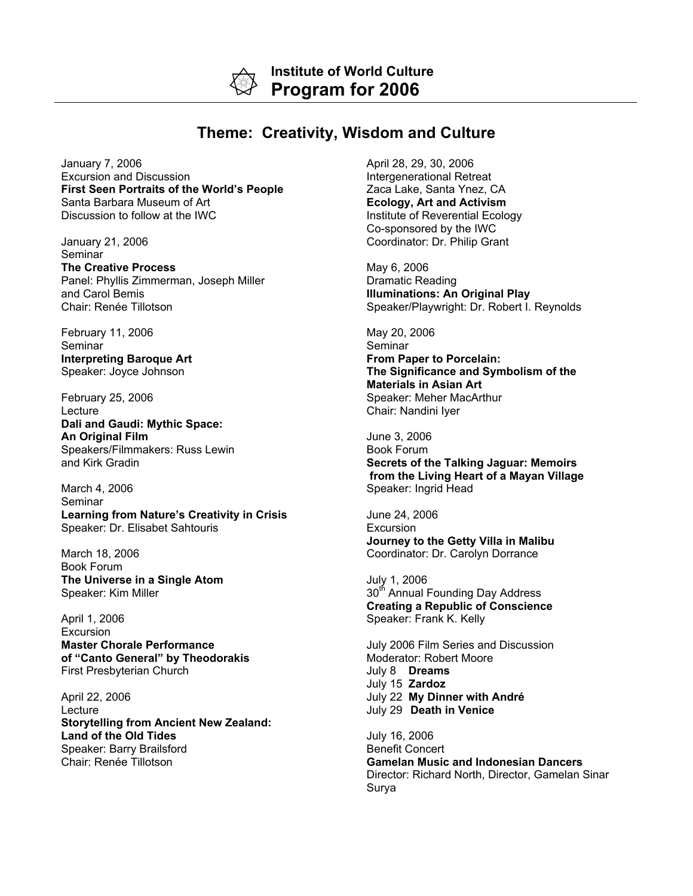**Institute of World Culture Program for 2006**

## **Theme: Creativity, Wisdom and Culture**

January 7, 2006 Excursion and Discussion **First Seen Portraits of the World's People** Santa Barbara Museum of Art Discussion to follow at the IWC

January 21, 2006 Seminar **The Creative Process** Panel: Phyllis Zimmerman, Joseph Miller and Carol Bemis Chair: Renée Tillotson

February 11, 2006 Seminar **Interpreting Baroque Art** Speaker: Joyce Johnson

February 25, 2006 Lecture **Dali and Gaudi: Mythic Space: An Original Film** Speakers/Filmmakers: Russ Lewin and Kirk Gradin

March 4, 2006 Seminar **Learning from Nature's Creativity in Crisis** Speaker: Dr. Elisabet Sahtouris

March 18, 2006 Book Forum **The Universe in a Single Atom** Speaker: Kim Miller

April 1, 2006 Excursion **Master Chorale Performance of "Canto General" by Theodorakis** First Presbyterian Church

April 22, 2006 Lecture **Storytelling from Ancient New Zealand: Land of the Old Tides** Speaker: Barry Brailsford Chair: Renée Tillotson

April 28, 29, 30, 2006 Intergenerational Retreat Zaca Lake, Santa Ynez, CA **Ecology, Art and Activism** Institute of Reverential Ecology Co-sponsored by the IWC Coordinator: Dr. Philip Grant

May 6, 2006 Dramatic Reading **Illuminations: An Original Play** Speaker/Playwright: Dr. Robert I. Reynolds

May 20, 2006 **Seminar From Paper to Porcelain: The Significance and Symbolism of the Materials in Asian Art** Speaker: Meher MacArthur Chair: Nandini Iyer

June 3, 2006 Book Forum **Secrets of the Talking Jaguar: Memoirs from the Living Heart of a Mayan Village** Speaker: Ingrid Head

June 24, 2006 Excursion **Journey to the Getty Villa in Malibu** Coordinator: Dr. Carolyn Dorrance

July 1, 2006 30<sup>th</sup> Annual Founding Day Address **Creating a Republic of Conscience** Speaker: Frank K. Kelly

July 2006 Film Series and Discussion Moderator: Robert Moore July 8 **Dreams** July 15 **Zardoz** July 22 **My Dinner with André** July 29 **Death in Venice**

July 16, 2006 Benefit Concert **Gamelan Music and Indonesian Dancers** Director: Richard North, Director, Gamelan Sinar Surya